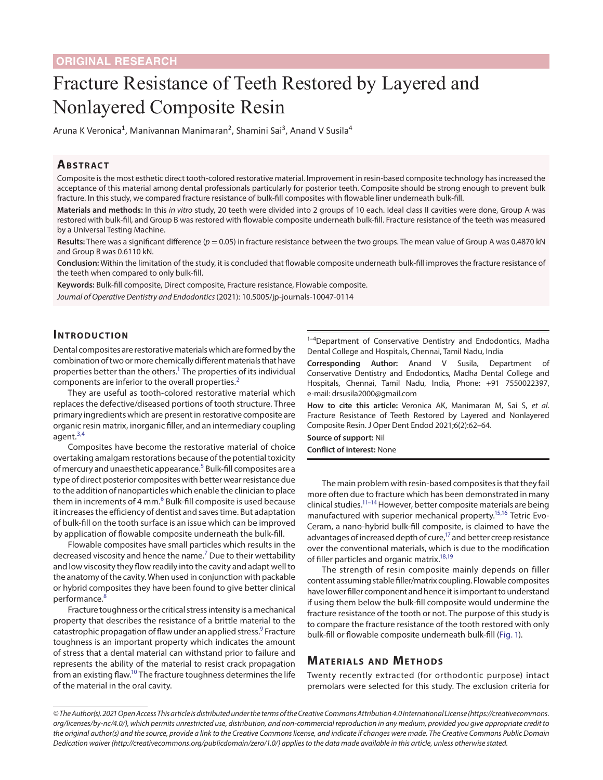# Fracture Resistance of Teeth Restored by Layered and Nonlayered Composite Resin

Aruna K Veronica<sup>1</sup>, Manivannan Manimaran<sup>2</sup>, Shamini Sai<sup>3</sup>, Anand V Susila<sup>4</sup>

#### **ABSTRACT**

Composite is the most esthetic direct tooth-colored restorative material. Improvement in resin-based composite technology has increased the acceptance of this material among dental professionals particularly for posterior teeth. Composite should be strong enough to prevent bulk fracture. In this study, we compared fracture resistance of bulk-fill composites with flowable liner underneath bulk-fill.

**Materials and methods:** In this *in vitro* study, 20 teeth were divided into 2 groups of 10 each. Ideal class II cavities were done, Group A was restored with bulk-fill, and Group B was restored with flowable composite underneath bulk-fill. Fracture resistance of the teeth was measured by a Universal Testing Machine.

**Results:** There was a significant difference (*p* = 0.05) in fracture resistance between the two groups. The mean value of Group A was 0.4870 kN and Group B was 0.6110 kN.

**Conclusion:** Within the limitation of the study, it is concluded that flowable composite underneath bulk-fill improves the fracture resistance of the teeth when compared to only bulk-fill.

**Keywords:** Bulk-fill composite, Direct composite, Fracture resistance, Flowable composite.

*Journal of Operative Dentistry and Endodontics* (2021): 10.5005/jp-journals-10047-0114

### **INTRODUCTION**

Dental composites are restorative materials which are formed by the combination of two or more chemically different materials that have properties better than the others.<sup>1</sup> The properties of its individual components are inferior to the overall properties.<sup>[2](#page-2-1)</sup>

They are useful as tooth-colored restorative material which replaces the defective/diseased portions of tooth structure. Three primary ingredients which are present in restorative composite are organic resin matrix, inorganic filler, and an intermediary coupling agent.<sup>[3](#page-2-2),[4](#page-2-3)</sup>

Composites have become the restorative material of choice overtaking amalgam restorations because of the potential toxicity of mercury and unaesthetic appearance.<sup>[5](#page-2-4)</sup> Bulk-fill composites are a type of direct posterior composites with better wear resistance due to the addition of nanoparticles which enable the clinician to place them in increments of 4 mm.<sup>[6](#page-2-5)</sup> Bulk-fill composite is used because it increases the efficiency of dentist and saves time. But adaptation of bulk-fill on the tooth surface is an issue which can be improved by application of flowable composite underneath the bulk-fill.

Flowable composites have small particles which results in the decreased viscosity and hence the name.<sup>[7](#page-2-6)</sup> Due to their wettability and low viscosity they flow readily into the cavity and adapt well to the anatomy of the cavity. When used in conjunction with packable or hybrid composites they have been found to give better clinical performance.[8](#page-2-7)

Fracture toughness or the critical stress intensity is a mechanical property that describes the resistance of a brittle material to the catastrophic propagation of flaw under an applied stress.<sup>9</sup> Fracture toughness is an important property which indicates the amount of stress that a dental material can withstand prior to failure and represents the ability of the material to resist crack propagation from an existing flaw[.10](#page-2-9) The fracture toughness determines the life of the material in the oral cavity.

<sup>1-4</sup>Department of Conservative Dentistry and Endodontics, Madha Dental College and Hospitals, Chennai, Tamil Nadu, India

**Corresponding Author:** Anand V Susila, Department of Conservative Dentistry and Endodontics, Madha Dental College and Hospitals, Chennai, Tamil Nadu, India, Phone: +91 7550022397, e-mail: drsusila2000@gmail.com

**How to cite this article:** Veronica AK, Manimaran M, Sai S, *et al*. Fracture Resistance of Teeth Restored by Layered and Nonlayered Composite Resin. J Oper Dent Endod 2021;6(2):62–64.

**Source of support:** Nil

**Conflict of interest:** None

The main problem with resin-based composites is that they fail more often due to fracture which has been demonstrated in many clinical studies.<sup>11–14</sup> However, better composite materials are being manufactured with superior mechanical property.<sup>15,16</sup> Tetric Evo-Ceram, a nano-hybrid bulk-fill composite, is claimed to have the advantages of increased depth of cure, $17$  and better creep resistance over the conventional materials, which is due to the modification of filler particles and organic matrix.<sup>18[,19](#page-2-16)</sup>

The strength of resin composite mainly depends on filler content assuming stable filler/matrix coupling. Flowable composites have lower filler component and hence it is important to understand if using them below the bulk-fill composite would undermine the fracture resistance of the tooth or not. The purpose of this study is to compare the fracture resistance of the tooth restored with only bulk-fill or flowable composite underneath bulk-fill [\(Fig. 1\)](#page-1-0).

## **MATERIALS AND METHODS**

Twenty recently extracted (for orthodontic purpose) intact premolars were selected for this study. The exclusion criteria for

*<sup>©</sup> The Author(s). 2021 Open Access This article is distributed under the terms of the Creative Commons Attribution 4.0 International License ([https://creativecommons.](https://creativecommons. org/licenses/by-nc/4.0/)  [org/licenses/by-nc/4.0/](https://creativecommons. org/licenses/by-nc/4.0/)), which permits unrestricted use, distribution, and non-commercial reproduction in any medium, provided you give appropriate credit to the original author(s) and the source, provide a link to the Creative Commons license, and indicate if changes were made. The Creative Commons Public Domain Dedication waiver ([http://creativecommons.org/publicdomain/zero/1.0/\)](http://creativecommons.org/publicdomain/zero/1.0/) applies to the data made available in this article, unless otherwise stated.*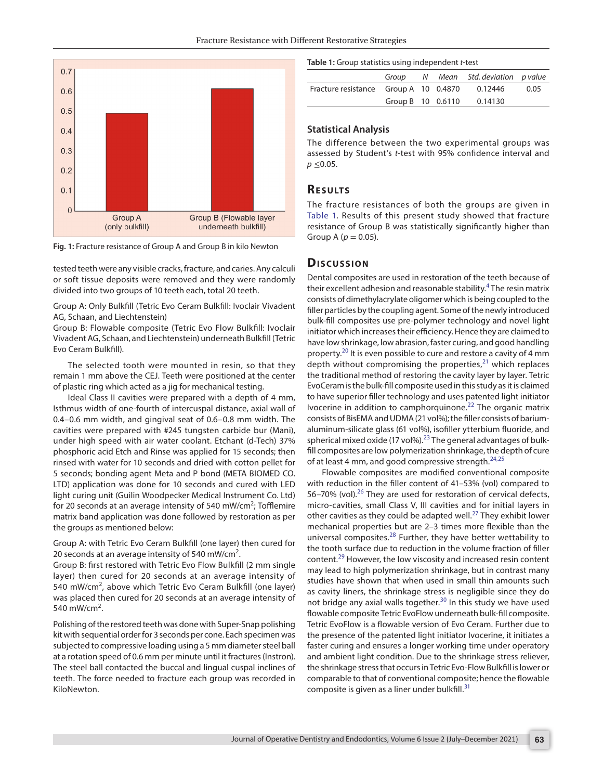

<span id="page-1-0"></span>

tested teeth were any visible cracks, fracture, and caries. Any calculi or soft tissue deposits were removed and they were randomly divided into two groups of 10 teeth each, total 20 teeth.

Group A: Only Bulkfill (Tetric Evo Ceram Bulkfill: Ivoclair Vivadent AG, Schaan, and Liechtenstein)

Group B: Flowable composite (Tetric Evo Flow Bulkfill: Ivoclair Vivadent AG, Schaan, and Liechtenstein) underneath Bulkfill (Tetric Evo Ceram Bulkfill).

The selected tooth were mounted in resin, so that they remain 1 mm above the CEJ. Teeth were positioned at the center of plastic ring which acted as a jig for mechanical testing.

Ideal Class II cavities were prepared with a depth of 4 mm, Isthmus width of one-fourth of intercuspal distance, axial wall of 0.4–0.6 mm width, and gingival seat of 0.6–0.8 mm width. The cavities were prepared with #245 tungsten carbide bur (Mani), under high speed with air water coolant. Etchant (d-Tech) 37% phosphoric acid Etch and Rinse was applied for 15 seconds; then rinsed with water for 10 seconds and dried with cotton pellet for 5 seconds; bonding agent Meta and P bond (META BIOMED CO. LTD) application was done for 10 seconds and cured with LED light curing unit (Guilin Woodpecker Medical Instrument Co. Ltd) for 20 seconds at an average intensity of 540 mW/cm<sup>2</sup>; Tofflemire matrix band application was done followed by restoration as per the groups as mentioned below:

Group A: with Tetric Evo Ceram Bulkfill (one layer) then cured for 20 seconds at an average intensity of 540 mW/cm<sup>2</sup>.

Group B: first restored with Tetric Evo Flow Bulkfill (2 mm single layer) then cured for 20 seconds at an average intensity of 540 mW/cm<sup>2</sup>, above which Tetric Evo Ceram Bulkfill (one layer) was placed then cured for 20 seconds at an average intensity of 540 mW/cm<sup>2</sup>.

Polishing of the restored teeth was done with Super-Snap polishing kit with sequential order for 3 seconds per cone. Each specimen was subjected to compressive loading using a 5 mm diameter steel ball at a rotation speed of 0.6 mm per minute until it fractures (Instron). The steel ball contacted the buccal and lingual cuspal inclines of teeth. The force needed to fracture each group was recorded in KiloNewton.

#### <span id="page-1-1"></span>**Table 1:** Group statistics using independent *t*-test

|                                       |                     |  | Group N Mean Std. deviation p value |      |
|---------------------------------------|---------------------|--|-------------------------------------|------|
| Fracture resistance Group A 10 0.4870 |                     |  | 0.12446                             | 0.05 |
|                                       | Group B $10$ 0.6110 |  | 0.14130                             |      |

#### **Statistical Analysis**

The difference between the two experimental groups was assessed by Student's *t*-test with 95% confidence interval and *p* ≤0.05.

#### **Re s u lts**

The fracture resistances of both the groups are given in [Table 1.](#page-1-1) Results of this present study showed that fracture resistance of Group B was statistically significantly higher than Group A ( $p = 0.05$ ).

#### **Dis c u s sio n**

Dental composites are used in restoration of the teeth because of their excellent adhesion and reasonable stability.<sup>[4](#page-2-3)</sup> The resin matrix consists of dimethylacrylate oligomer which is being coupled to the filler particles by the coupling agent. Some of the newly introduced bulk-fill composites use pre-polymer technology and novel light initiator which increases their efficiency. Hence they are claimed to have low shrinkage, low abrasion, faster curing, and good handling property.<sup>20</sup> It is even possible to cure and restore a cavity of 4 mm depth without compromising the properties, $^{21}$  $^{21}$  $^{21}$  which replaces the traditional method of restoring the cavity layer by layer. Tetric EvoCeram is the bulk-fill composite used in this study as it is claimed to have superior filler technology and uses patented light initiator Ivocerine in addition to camphorquinone.[22](#page-2-19) The organic matrix consists of BisEMA and UDMA (21 vol%); the filler consists of bariumaluminum-silicate glass (61 vol%), isofiller ytterbium fluoride, and spherical mixed oxide (17 vol%).<sup>23</sup> The general advantages of bulkfill composites are low polymerization shrinkage, the depth of cure of at least 4 mm, and good compressive strength.<sup>[24](#page-2-20),[25](#page-2-21)</sup>

Flowable composites are modified conventional composite with reduction in the filler content of 41–53% (vol) compared to 56–70% (vol).<sup>[26](#page-2-22)</sup> They are used for restoration of cervical defects, micro-cavities, small Class V, III cavities and for initial layers in other cavities as they could be adapted well.<sup>[27](#page-2-23)</sup> They exhibit lower mechanical properties but are 2–3 times more flexible than the universal composites. $28$  Further, they have better wettability to the tooth surface due to reduction in the volume fraction of filler content.[29](#page-2-25) However, the low viscosity and increased resin content may lead to high polymerization shrinkage, but in contrast many studies have shown that when used in small thin amounts such as cavity liners, the shrinkage stress is negligible since they do not bridge any axial walls together.<sup>30</sup> In this study we have used flowable composite Tetric EvoFlow underneath bulk-fill composite. Tetric EvoFlow is a flowable version of Evo Ceram. Further due to the presence of the patented light initiator Ivocerine, it initiates a faster curing and ensures a longer working time under operatory and ambient light condition. Due to the shrinkage stress reliever, the shrinkage stress that occurs in Tetric Evo-Flow Bulkfill is lower or comparable to that of conventional composite; hence the flowable composite is given as a liner under bulkfill. $31$